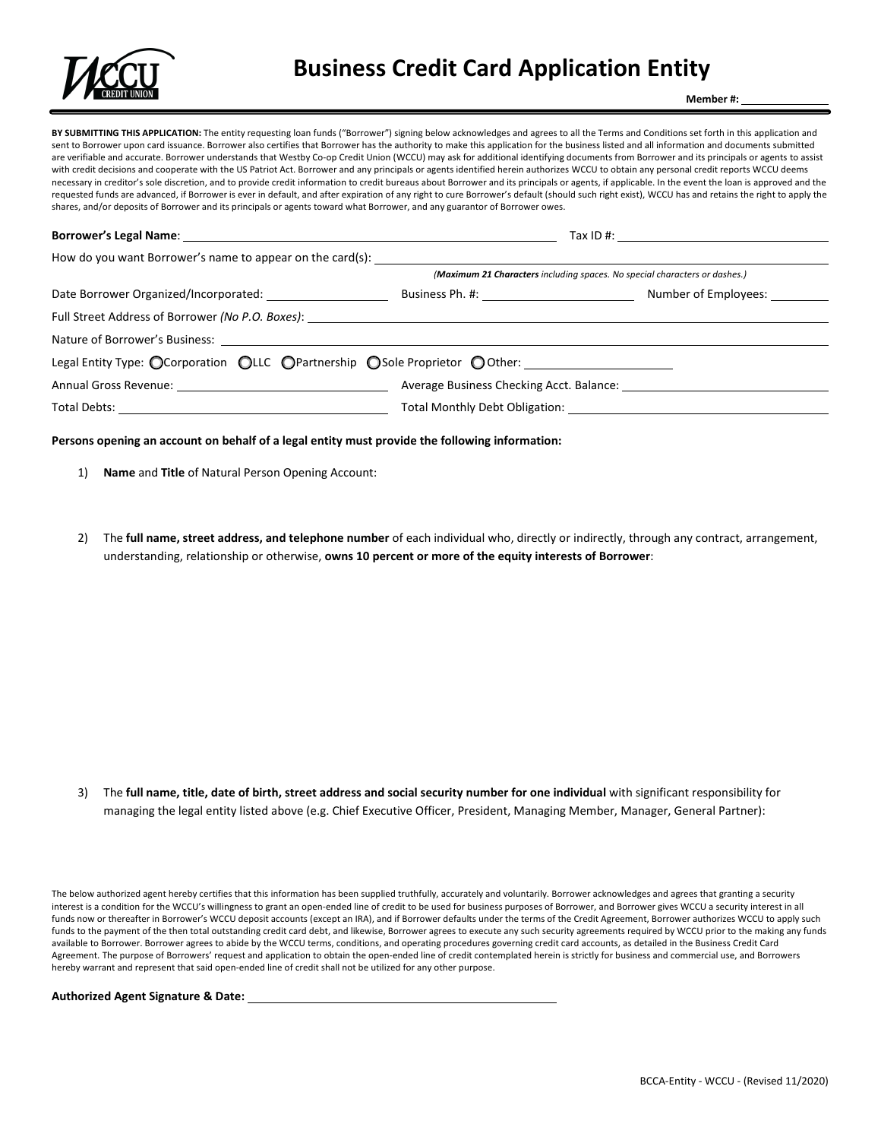

# **Business Credit Card Application Entity**

**Member #:** 

**BY SUBMITTING THIS APPLICATION:** The entity requesting loan funds ("Borrower") signing below acknowledges and agrees to all the Terms and Conditions set forth in this application and sent to Borrower upon card issuance. Borrower also certifies that Borrower has the authority to make this application for the business listed and all information and documents submitted are verifiable and accurate. Borrower understands that Westby Co-op Credit Union (WCCU) may ask for additional identifying documents from Borrower and its principals or agents to assist with credit decisions and cooperate with the US Patriot Act. Borrower and any principals or agents identified herein authorizes WCCU to obtain any personal credit reports WCCU deems necessary in creditor's sole discretion, and to provide credit information to credit bureaus about Borrower and its principals or agents, if applicable. In the event the loan is approved and the requested funds are advanced, if Borrower is ever in default, and after expiration of any right to cure Borrower's default (should such right exist), WCCU has and retains the right to apply the shares, and/or deposits of Borrower and its principals or agents toward what Borrower, and any guarantor of Borrower owes.

## **Borrower's Legal Name**: <u>The Community of the Community of Tax ID #:</u> Tax ID #: Tax ID #: Tax ID #: Tax ID #: Tax ID #: Tax ID #: Tax ID #: Tax ID #: Tax ID #: Tax ID #: Tax ID #: Tax ID #: Tax ID #: Tax ID #: Tax ID #: T

|                                                                                                          | (Maximum 21 Characters including spaces. No special characters or dashes.) |                                    |  |
|----------------------------------------------------------------------------------------------------------|----------------------------------------------------------------------------|------------------------------------|--|
|                                                                                                          |                                                                            | Number of Employees: <u>Number</u> |  |
| Full Street Address of Borrower (No P.O. Boxes): Network and Street Address of Borrower (No P.O. Boxes): |                                                                            |                                    |  |
|                                                                                                          |                                                                            |                                    |  |
|                                                                                                          | Legal Entity Type: OCorporation OLLC OPartnership OSole Proprietor OOther: |                                    |  |
|                                                                                                          |                                                                            |                                    |  |
|                                                                                                          |                                                                            |                                    |  |

#### **Persons opening an account on behalf of a legal entity must provide the following information:**

- 1) **Name** and **Title** of Natural Person Opening Account:
- 2) The **full name, street address, and telephone number** of each individual who, directly or indirectly, through any contract, arrangement, understanding, relationship or otherwise, **owns 10 percent or more of the equity interests of Borrower**:

3) The **full name, title, date of birth, street address and social security number for one individual** with significant responsibility for managing the legal entity listed above (e.g. Chief Executive Officer, President, Managing Member, Manager, General Partner):

The below authorized agent hereby certifies that this information has been supplied truthfully, accurately and voluntarily. Borrower acknowledges and agrees that granting a security interest is a condition for the WCCU's willingness to grant an open-ended line of credit to be used for business purposes of Borrower, and Borrower gives WCCU a security interest in all funds now or thereafter in Borrower's WCCU deposit accounts (except an IRA), and if Borrower defaults under the terms of the Credit Agreement, Borrower authorizes WCCU to apply such funds to the payment of the then total outstanding credit card debt, and likewise, Borrower agrees to execute any such security agreements required by WCCU prior to the making any funds available to Borrower. Borrower agrees to abide by the WCCU terms, conditions, and operating procedures governing credit card accounts, as detailed in the Business Credit Card Agreement. The purpose of Borrowers' request and application to obtain the open-ended line of credit contemplated herein is strictly for business and commercial use, and Borrowers hereby warrant and represent that said open-ended line of credit shall not be utilized for any other purpose.

#### **Authorized Agent Signature & Date:**